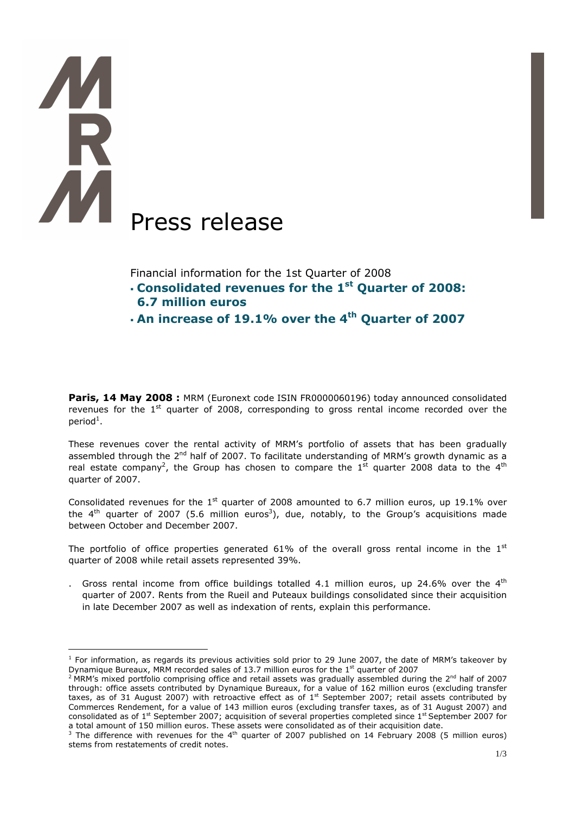# Press release

 $\overline{a}$ 

Financial information for the 1st Quarter of 2008

- Consolidated revenues for the 1<sup>st</sup> Quarter of 2008: 6.7 million euros
- $\cdot$  An increase of 19.1% over the 4<sup>th</sup> Quarter of 2007

Paris, 14 May 2008 : MRM (Euronext code ISIN FR0000060196) today announced consolidated revenues for the  $1<sup>st</sup>$  quarter of 2008, corresponding to gross rental income recorded over the period $^1$ .

These revenues cover the rental activity of MRM's portfolio of assets that has been gradually assembled through the 2<sup>nd</sup> half of 2007. To facilitate understanding of MRM's growth dynamic as a real estate company<sup>2</sup>, the Group has chosen to compare the 1<sup>st</sup> quarter 2008 data to the 4<sup>th</sup> quarter of 2007.

Consolidated revenues for the  $1<sup>st</sup>$  quarter of 2008 amounted to 6.7 million euros, up 19.1% over the 4<sup>th</sup> quarter of 2007 (5.6 million euros<sup>3</sup>), due, notably, to the Group's acquisitions made between October and December 2007.

The portfolio of office properties generated 61% of the overall gross rental income in the  $1<sup>st</sup>$ quarter of 2008 while retail assets represented 39%.

Gross rental income from office buildings totalled 4.1 million euros, up 24.6% over the  $4<sup>th</sup>$ quarter of 2007. Rents from the Rueil and Puteaux buildings consolidated since their acquisition in late December 2007 as well as indexation of rents, explain this performance.

<sup>&</sup>lt;sup>1</sup> For information, as regards its previous activities sold prior to 29 June 2007, the date of MRM's takeover by Dynamique Bureaux, MRM recorded sales of 13.7 million euros for the 1<sup>st</sup> quarter of 2007

<sup>&</sup>lt;sup>2</sup> MRM's mixed portfolio comprising office and retail assets was gradually assembled during the 2<sup>nd</sup> half of 2007 through: office assets contributed by Dynamique Bureaux, for a value of 162 million euros (excluding transfer taxes, as of 31 August 2007) with retroactive effect as of 1<sup>st</sup> September 2007; retail assets contributed by Commerces Rendement, for a value of 143 million euros (excluding transfer taxes, as of 31 August 2007) and consolidated as of 1<sup>st</sup> September 2007; acquisition of several properties completed since 1<sup>st</sup> September 2007 for a total amount of 150 million euros. These assets were consolidated as of their acquisition date.

<sup>&</sup>lt;sup>3</sup> The difference with revenues for the 4<sup>th</sup> quarter of 2007 published on 14 February 2008 (5 million euros) stems from restatements of credit notes.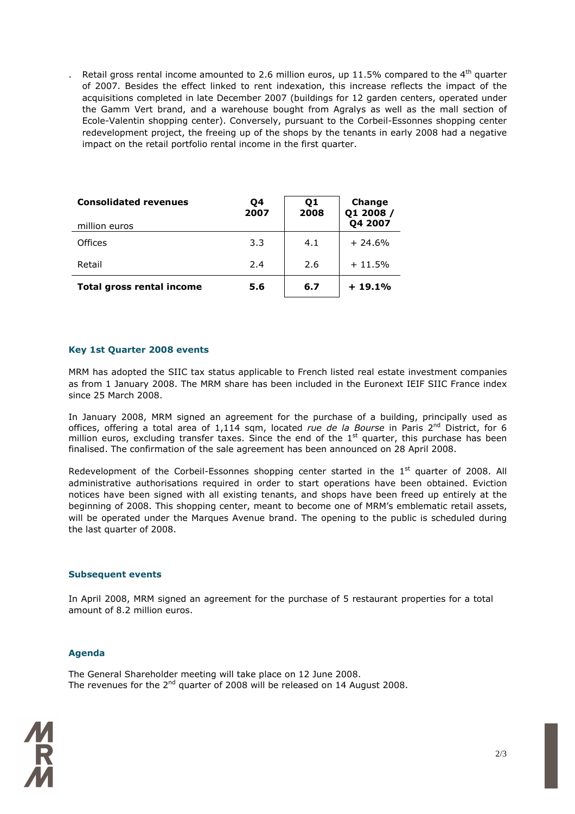Retail gross rental income amounted to 2.6 million euros, up 11.5% compared to the  $4<sup>th</sup>$  quarter of 2007. Besides the effect linked to rent indexation, this increase reflects the impact of the acquisitions completed in late December 2007 (buildings for 12 garden centers, operated under the Gamm Vert brand, and a warehouse bought from Agralys as well as the mall section of Ecole-Valentin shopping center). Conversely, pursuant to the Corbeil-Essonnes shopping center redevelopment project, the freeing up of the shops by the tenants in early 2008 had a negative impact on the retail portfolio rental income in the first quarter.

| <b>Consolidated revenues</b><br>million euros | Q4<br>2007 | 01<br>2008 | Change<br>Q1 2008 /<br>Q4 2007 |
|-----------------------------------------------|------------|------------|--------------------------------|
| Offices                                       | 3.3        | 4.1        | $+ 24.6%$                      |
| Retail                                        | 2.4        | 2.6        | $+11.5%$                       |
| <b>Total gross rental income</b>              | 5.6        | 6.7        | $+19.1%$                       |

# Key 1st Quarter 2008 events

MRM has adopted the SIIC tax status applicable to French listed real estate investment companies as from 1 January 2008. The MRM share has been included in the Euronext IEIF SIIC France index since 25 March 2008.

In January 2008, MRM signed an agreement for the purchase of a building, principally used as offices, offering a total area of  $1,114$  sqm, located rue de la Bourse in Paris 2<sup>nd</sup> District, for 6 million euros, excluding transfer taxes. Since the end of the  $1<sup>st</sup>$  quarter, this purchase has been finalised. The confirmation of the sale agreement has been announced on 28 April 2008.

Redevelopment of the Corbeil-Essonnes shopping center started in the  $1<sup>st</sup>$  quarter of 2008. All administrative authorisations required in order to start operations have been obtained. Eviction notices have been signed with all existing tenants, and shops have been freed up entirely at the beginning of 2008. This shopping center, meant to become one of MRM's emblematic retail assets, will be operated under the Marques Avenue brand. The opening to the public is scheduled during the last quarter of 2008.

# Subsequent events

In April 2008, MRM signed an agreement for the purchase of 5 restaurant properties for a total amount of 8.2 million euros.

# Agenda

The General Shareholder meeting will take place on 12 June 2008. The revenues for the  $2^{nd}$  quarter of 2008 will be released on 14 August 2008.